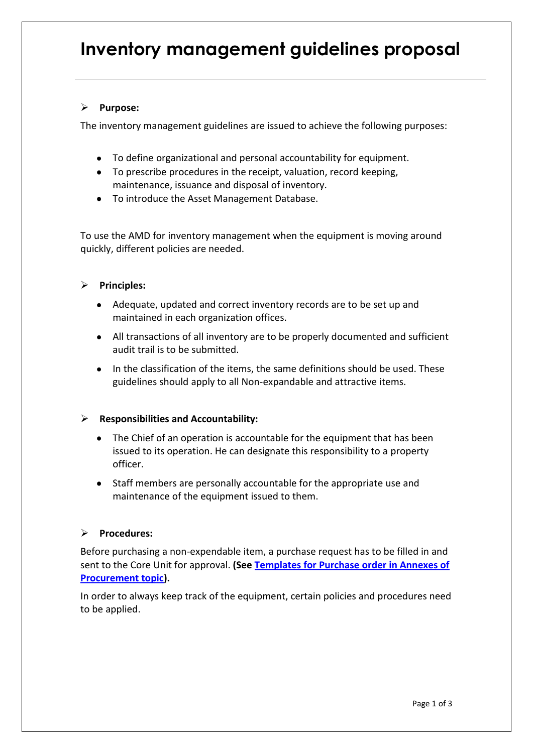# **Inventory management guidelines proposal**

## **Purpose:**

The inventory management guidelines are issued to achieve the following purposes:

- To define organizational and personal accountability for equipment.
- To prescribe procedures in the receipt, valuation, record keeping, maintenance, issuance and disposal of inventory.
- To introduce the Asset Management Database.

To use the AMD for inventory management when the equipment is moving around quickly, different policies are needed.

# **Principles:**

- Adequate, updated and correct inventory records are to be set up and  $\bullet$ maintained in each organization offices.
- All transactions of all inventory are to be properly documented and sufficient audit trail is to be submitted.
- In the classification of the items, the same definitions should be used. These guidelines should apply to all Non-expandable and attractive items.

# **Responsibilities and Accountability:**

- The Chief of an operation is accountable for the equipment that has been  $\bullet$ issued to its operation. He can designate this responsibility to a property officer.
- Staff members are personally accountable for the appropriate use and  $\bullet$ maintenance of the equipment issued to them.

## **Procedures:**

Before purchasing a non-expendable item, a purchase request has to be filled in and sent to the Core Unit for approval. **(See [Templates for Purchase order in Annexes of](http://log.logcluster.org/response/procurement/annexes.html#sample-template)  [Procurement topic\)](http://log.logcluster.org/response/procurement/annexes.html#sample-template).**

In order to always keep track of the equipment, certain policies and procedures need to be applied.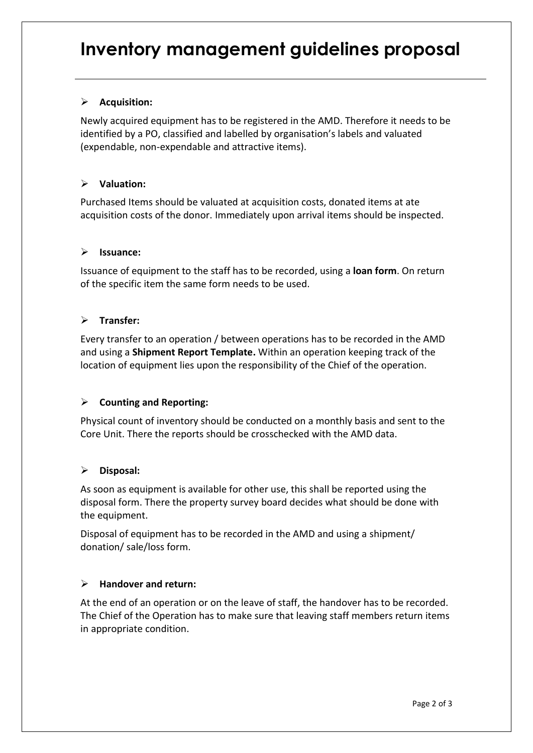# **Inventory management guidelines proposal**

# **Acquisition:**

Newly acquired equipment has to be registered in the AMD. Therefore it needs to be identified by a PO, classified and labelled by organisation's labels and valuated (expendable, non-expendable and attractive items).

## **Valuation:**

Purchased Items should be valuated at acquisition costs, donated items at ate acquisition costs of the donor. Immediately upon arrival items should be inspected.

#### **Issuance:**

Issuance of equipment to the staff has to be recorded, using a **loan form**. On return of the specific item the same form needs to be used.

#### **Transfer:**

Every transfer to an operation / between operations has to be recorded in the AMD and using a **Shipment Report Template.** Within an operation keeping track of the location of equipment lies upon the responsibility of the Chief of the operation.

## **Counting and Reporting:**

Physical count of inventory should be conducted on a monthly basis and sent to the Core Unit. There the reports should be crosschecked with the AMD data.

#### **Disposal:**

As soon as equipment is available for other use, this shall be reported using the disposal form. There the property survey board decides what should be done with the equipment.

Disposal of equipment has to be recorded in the AMD and using a shipment/ donation/ sale/loss form.

## **Handover and return:**

At the end of an operation or on the leave of staff, the handover has to be recorded. The Chief of the Operation has to make sure that leaving staff members return items in appropriate condition.